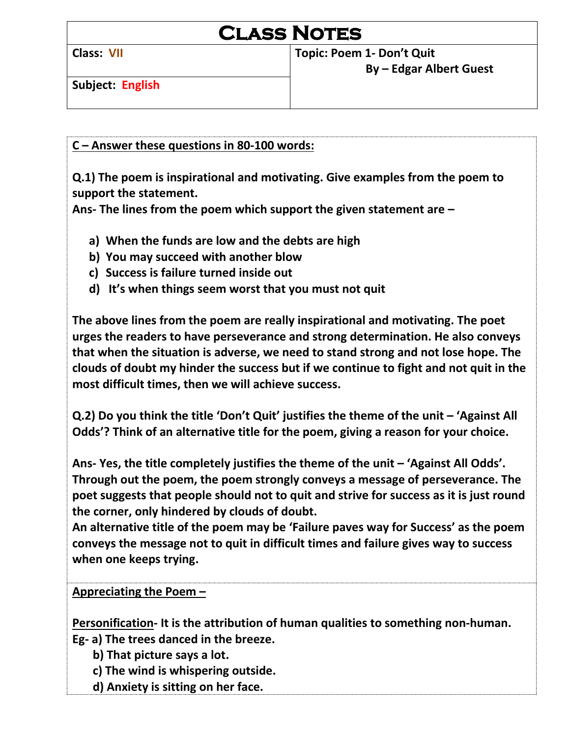**Class: VII Topic: Poem 1- Don't Quit**

**Subject: English**

 **By – Edgar Albert Guest**

**C – Answer these questions in 80-100 words:**

**Q.1) The poem is inspirational and motivating. Give examples from the poem to support the statement.**

**Ans- The lines from the poem which support the given statement are –**

- **a) When the funds are low and the debts are high**
- **b) You may succeed with another blow**
- **c) Success is failure turned inside out**
- **d) It's when things seem worst that you must not quit**

**The above lines from the poem are really inspirational and motivating. The poet urges the readers to have perseverance and strong determination. He also conveys that when the situation is adverse, we need to stand strong and not lose hope. The clouds of doubt my hinder the success but if we continue to fight and not quit in the most difficult times, then we will achieve success.**

**Q.2) Do you think the title 'Don't Quit' justifies the theme of the unit – 'Against All Odds'? Think of an alternative title for the poem, giving a reason for your choice.**

**Ans- Yes, the title completely justifies the theme of the unit – 'Against All Odds'. Through out the poem, the poem strongly conveys a message of perseverance. The poet suggests that people should not to quit and strive for success as it is just round the corner, only hindered by clouds of doubt.**

**An alternative title of the poem may be 'Failure paves way for Success' as the poem conveys the message not to quit in difficult times and failure gives way to success when one keeps trying.**

**Appreciating the Poem –**

**Personification- It is the attribution of human qualities to something non-human.**

**Eg- a) The trees danced in the breeze.**

- **b) That picture says a lot.**
- **c) The wind is whispering outside.**
- **d) Anxiety is sitting on her face.**